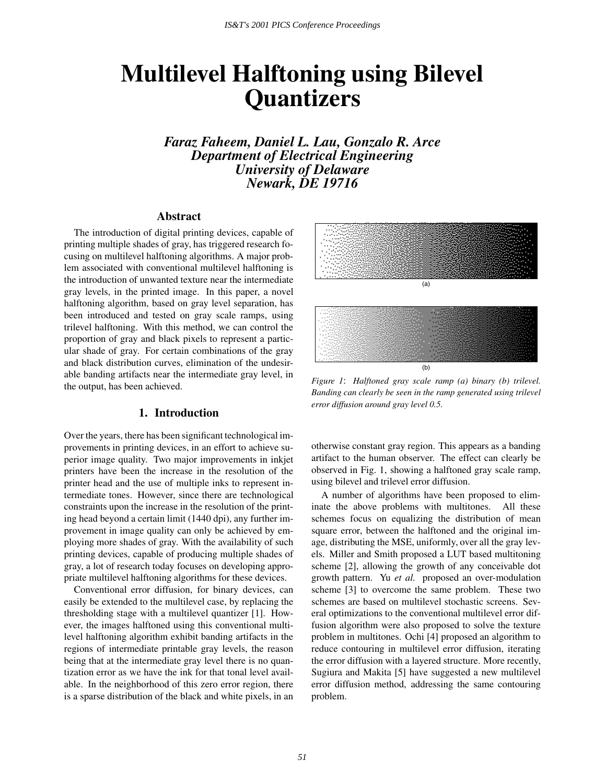# **Multilevel Halftoning using Bilevel Quantizers**

*Faraz Faheem, Daniel L. Lau, Gonzalo R. Arce Department of Electrical Engineering University of Delaware Newark, DE 19716*

#### **Abstract**

The introduction of digital printing devices, capable of printing multiple shades of gray, has triggered research focusing on multilevel halftoning algorithms. A major problem associated with conventional multilevel halftoning is the introduction of unwanted texture near the intermediate gray levels, in the printed image. In this paper, a novel halftoning algorithm, based on gray level separation, has been introduced and tested on gray scale ramps, using trilevel halftoning. With this method, we can control the proportion of gray and black pixels to represent a particular shade of gray. For certain combinations of the gray and black distribution curves, elimination of the undesirable banding artifacts near the intermediate gray level, in the output, has been achieved.

#### **1. Introduction**

Over the years, there has been significant technological improvements in printing devices, in an effort to achieve superior image quality. Two major improvements in inkjet printers have been the increase in the resolution of the printer head and the use of multiple inks to represent intermediate tones. However, since there are technological constraints upon the increase in the resolution of the printing head beyond a certain limit (1440 dpi), any further improvement in image quality can only be achieved by employing more shades of gray. With the availability of such printing devices, capable of producing multiple shades of gray, a lot of research today focuses on developing appropriate multilevel halftoning algorithms for these devices.

Conventional error diffusion, for binary devices, can easily be extended to the multilevel case, by replacing the thresholding stage with a multilevel quantizer [1]. However, the images halftoned using this conventional multilevel halftoning algorithm exhibit banding artifacts in the regions of intermediate printable gray levels, the reason being that at the intermediate gray level there is no quantization error as we have the ink for that tonal level available. In the neighborhood of this zero error region, there is a sparse distribution of the black and white pixels, in an



*Figure 1*: *Halftoned gray scale ramp (a) binary (b) trilevel. Banding can clearly be seen in the ramp generated using trilevel error diffusion around gray level 0.5.*

otherwise constant gray region. This appears as a banding artifact to the human observer. The effect can clearly be observed in Fig. 1, showing a halftoned gray scale ramp, using bilevel and trilevel error diffusion.

A number of algorithms have been proposed to eliminate the above problems with multitones. All these schemes focus on equalizing the distribution of mean square error, between the halftoned and the original image, distributing the MSE, uniformly, over all the gray levels. Miller and Smith proposed a LUT based multitoning scheme [2], allowing the growth of any conceivable dot growth pattern. Yu *et al.* proposed an over-modulation scheme [3] to overcome the same problem. These two schemes are based on multilevel stochastic screens. Several optimizations to the conventional multilevel error diffusion algorithm were also proposed to solve the texture problem in multitones. Ochi [4] proposed an algorithm to reduce contouring in multilevel error diffusion, iterating the error diffusion with a layered structure. More recently, Sugiura and Makita [5] have suggested a new multilevel error diffusion method, addressing the same contouring problem.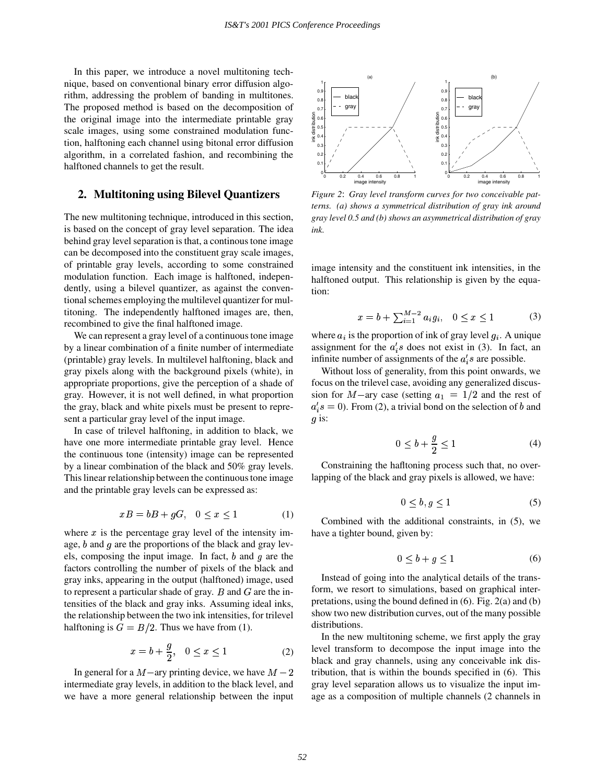In this paper, we introduce a novel multitoning technique, based on conventional binary error diffusion algorithm, addressing the problem of banding in multitones. The proposed method is based on the decomposition of the original image into the intermediate printable gray scale images, using some constrained modulation function, halftoning each channel using bitonal error diffusion algorithm, in a correlated fashion, and recombining the halftoned channels to get the result.

#### **2. Multitoning using Bilevel Quantizers**

The new multitoning technique, introduced in this section, is based on the concept of gray level separation. The idea behind gray level separation is that, a continous tone image can be decomposed into the constituent gray scale images, of printable gray levels, according to some constrained modulation function. Each image is halftoned, independently, using a bilevel quantizer, as against the conventional schemes employing the multilevel quantizer for multitoning. The independently halftoned images are, then, recombined to give the final halftoned image.

We can represent a gray level of a continuous tone image by a linear combination of a finite number of intermediate (printable) gray levels. In multilevel halftoning, black and gray pixels along with the background pixels (white), in appropriate proportions, give the perception of a shade of gray. However, it is not well defined, in what proportion the gray, black and white pixels must be present to represent a particular gray level of the input image.

In case of trilevel halftoning, in addition to black, we have one more intermediate printable gray level. Hence the continuous tone (intensity) image can be represented by a linear combination of the black and 50% gray levels. This linear relationship between the continuous tone image and the printable gray levels can be expressed as:

$$
xB = bB + gG, \quad 0 \le x \le 1 \tag{1}
$$

where  $x$  is the percentage gray level of the intensity image,  $b$  and  $g$  are the proportions of the black and gray levels, composing the input image. In fact,  $b$  and  $g$  are the factors controlling the number of pixels of the black and gray inks, appearing in the output (halftoned) image, used to represent a particular shade of gray. B and G are the intensities of the black and gray inks. Assuming ideal inks, the relationship between the two ink intensities, for trilevel halftoning is  $G = B/2$ . Thus we have from (1).

$$
x = b + \frac{g}{2}, \quad 0 \le x \le 1 \tag{2}
$$

In general for a  $M$  –ary printing device, we have  $M - 2$ intermediate gray levels, in addition to the black level, and we have a more general relationship between the input



*Figure 2*: *Gray level transform curves for two conceivable patterns. (a) shows a symmetrical distribution of gray ink around gray level 0.5 and (b) shows an asymmetrical distribution of gray ink.*

image intensity and the constituent ink intensities, in the halftoned output. This relationship is given by the equation:

$$
x = b + \sum_{i=1}^{M-2} a_i g_i, \quad 0 \le x \le 1 \tag{3}
$$

where  $a_i$  is the proportion of ink of gray level  $g_i$ . A unique assignment for the  $a_i$ 's does not exist in (3). In fact, an infinite number of assignments of the  $a_i$ 's are possible.

Without loss of generality, from this point onwards, we focus on the trilevel case, avoiding any generalized discussion for M-ary case (setting  $a_1 = 1/2$  and the rest of  $a_i$ 's = 0). From (2), a trivial bond on the selection of b and  $g$  is:

$$
0 \le b + \frac{g}{2} \le 1\tag{4}
$$

Constraining the hafltoning process such that, no overlapping of the black and gray pixels is allowed, we have:

$$
0 \le b, g \le 1 \tag{5}
$$

Combined with the additional constraints, in (5), we have a tighter bound, given by:

$$
0 \le b + g \le 1 \tag{6}
$$

Instead of going into the analytical details of the transform, we resort to simulations, based on graphical interpretations, using the bound defined in (6). Fig. 2(a) and (b) show two new distribution curves, out of the many possible distributions.

In the new multitoning scheme, we first apply the gray level transform to decompose the input image into the black and gray channels, using any conceivable ink distribution, that is within the bounds specified in (6). This gray level separation allows us to visualize the input image as a composition of multiple channels (2 channels in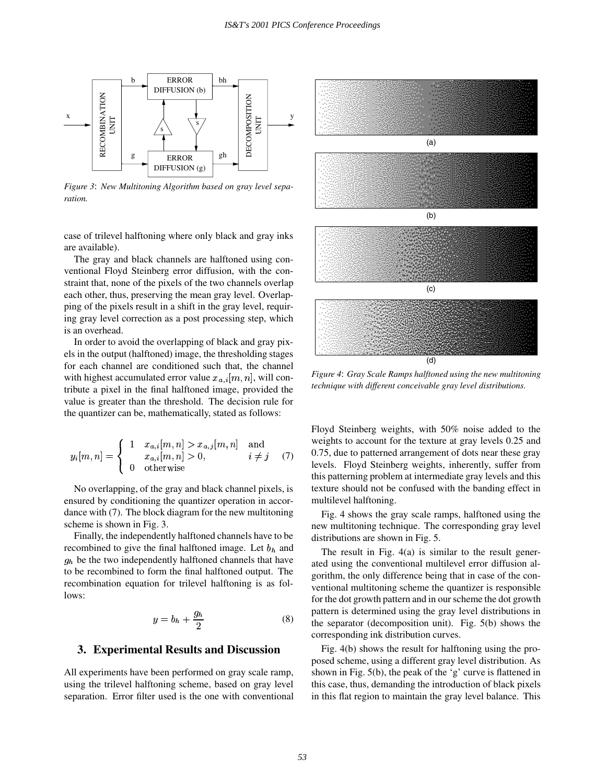

Figure 3: New Multitoning Algorithm based on gray level sepa*ration.*

case of trilevel halftoning where only black and gray inks are available).

The gray and black channels are halftoned using conventional Floyd Steinberg error diffusion, with the constraint that, none of the pixels of the two channels overlap each other, thus, preserving the mean gray level. Overlapping of the pixels result in a shift in the gray level, requiring gray level correction as a post processing step, which is an overhead.

In order to avoid the overlapping of black and gray pixels in the output (halftoned) image, the thresholding stages for each channel are conditioned such that, the channel with highest accumulated error value  $x_{a,i}[m,n]$ , will contribute a pixel in the final halftoned image, provided the value is greater than the threshold. The decision rule for the quantizer can be, mathematically, stated as follows:

$$
y_i[m,n] = \begin{cases} 1 & x_{a,i}[m,n] > x_{a,j}[m,n] \text{ and} \\ x_{a,i}[m,n] > 0, & i \neq j \\ 0 & \text{otherwise} \end{cases}
$$
(7)

No overlapping, of the gray and black channel pixels, is ensured by conditioning the quantizer operation in accordance with (7). The block diagram for the new multitoning scheme is shown in Fig. 3.

Finally, the independently halftoned channels have to be recombined to give the final halftoned image. Let  $b<sub>h</sub>$  and  $g_h$  be the two independently halftoned channels that have to be recombined to form the final halftoned output. The recombination equation for trilevel halftoning is as follows:

$$
y = b_h + \frac{g_h}{2} \tag{8}
$$

#### **3. Experimental Results and Discussion**

All experiments have been performed on gray scale ramp, using the trilevel halftoning scheme, based on gray level separation. Error filter used is the one with conventional



*Figure 4*: *Gray Scale Ramps halftoned using the newmultitoning technique with different conceivable gray level distributions.*

Floyd Steinberg weights, with 50% noise added to the weights to account for the texture at gray levels 0.25 and 0.75, due to patterned arrangement of dots near these gray levels. Floyd Steinberg weights, inherently, suffer from this patterning problem at intermediate gray levels and this texture should not be confused with the banding effect in multilevel halftoning.

Fig. 4 shows the gray scale ramps, halftoned using the new multitoning technique. The corresponding gray level distributions are shown in Fig. 5.

The result in Fig. 4(a) is similar to the result generated using the conventional multilevel error diffusion algorithm, the only difference being that in case of the conventional multitoning scheme the quantizer is responsible for the dot growth pattern and in our scheme the dot growth pattern is determined using the gray level distributions in the separator (decomposition unit). Fig. 5(b) shows the corresponding ink distribution curves.

Fig. 4(b) shows the result for halftoning using the proposed scheme, using a different gray level distribution. As shown in Fig. 5(b), the peak of the 'g' curve is flattened in this case, thus, demanding the introduction of black pixels in this flat region to maintain the gray level balance. This